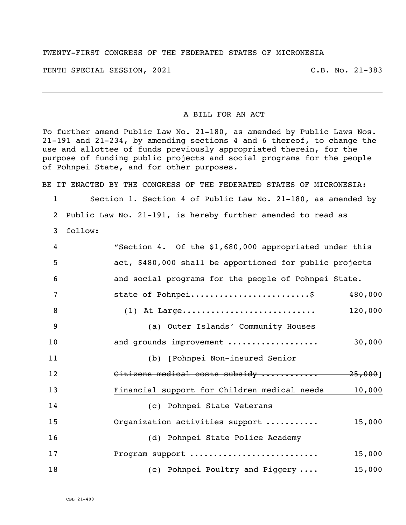## TWENTY-FIRST CONGRESS OF THE FEDERATED STATES OF MICRONESIA

TENTH SPECIAL SESSION, 2021 C.B. No. 21-383

i<br>L

## A BILL FOR AN ACT

To further amend Public Law No. 21-180, as amended by Public Laws Nos. 21-191 and 21-234, by amending sections 4 and 6 thereof, to change the use and allottee of funds previously appropriated therein, for the purpose of funding public projects and social programs for the people of Pohnpei State, and for other purposes.

BE IT ENACTED BY THE CONGRESS OF THE FEDERATED STATES OF MICRONESIA:

 Section 1. Section 4 of Public Law No. 21-180, as amended by Public Law No. 21-191, is hereby further amended to read as

follow:

| $\overline{4}$ | "Section 4. Of the \$1,680,000 appropriated under this  |         |
|----------------|---------------------------------------------------------|---------|
| 5              | act, \$480,000 shall be apportioned for public projects |         |
| 6              | and social programs for the people of Pohnpei State.    |         |
| 7              | state of Pohnpei\$                                      | 480,000 |
| 8              | $(1)$ At Large                                          | 120,000 |
| 9              | (a) Outer Islands' Community Houses                     |         |
| 10             | and grounds improvement                                 | 30,000  |
| 11             | (b) [Pohnpei Non-insured Senior                         |         |
| 12             | Citizens medical costs subsidy  25,000]                 |         |
| 13             | Financial support for Children medical needs            | 10,000  |
| 14             | (c) Pohnpei State Veterans                              |         |
| 15             | Organization activities support                         | 15,000  |
| 16             | (d) Pohnpei State Police Academy                        |         |
| 17             | Program support                                         | 15,000  |
| 18             | (e) Pohnpei Poultry and Piggery                         | 15,000  |

CBL 21-400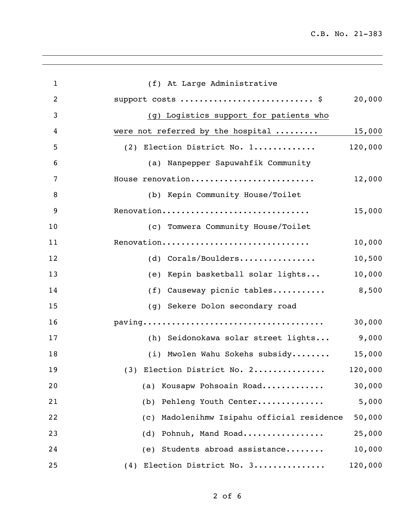C.B. No. 21-383

| $\mathbf{1}$   | (f) At Large Administrative                   |         |
|----------------|-----------------------------------------------|---------|
| $\overline{2}$ | support costs  \$                             | 20,000  |
| 3              | (g) Logistics support for patients who        |         |
| 4              | were not referred by the hospital  15,000     |         |
| 5              | (2) Election District No. 1                   | 120,000 |
| 6              | (a) Nanpepper Sapuwahfik Community            |         |
| 7              | House renovation                              | 12,000  |
| 8              | (b) Kepin Community House/Toilet              |         |
| 9              | Renovation                                    | 15,000  |
| 10             | (c) Tomwera Community House/Toilet            |         |
| 11             | Renovation                                    | 10,000  |
| 12             | (d) Corals/Boulders                           | 10,500  |
| 13             | (e) Kepin basketball solar lights             | 10,000  |
| 14             | (f) Causeway picnic tables                    | 8,500   |
| 15             | (g) Sekere Dolon secondary road               |         |
| 16             |                                               | 30,000  |
| 17             | (h) Seidonokawa solar street lights           | 9,000   |
| 18             | (i) Mwolen Wahu Sokehs subsidy                | 15,000  |
| 19             | $(3)$ Election District No. 2                 | 120,000 |
| 20             | (a) Kousapw Pohsoain Road                     | 30,000  |
| 21             | (b) Pehleng Youth Center                      | 5,000   |
| 22             | Madolenihmw Isipahu official residence<br>(C) | 50,000  |
| 23             | Pohnuh, Mand Road<br>(d)                      | 25,000  |
| 24             | (e) Students abroad assistance                | 10,000  |
| 25             | (4) Election District No. 3                   | 120,000 |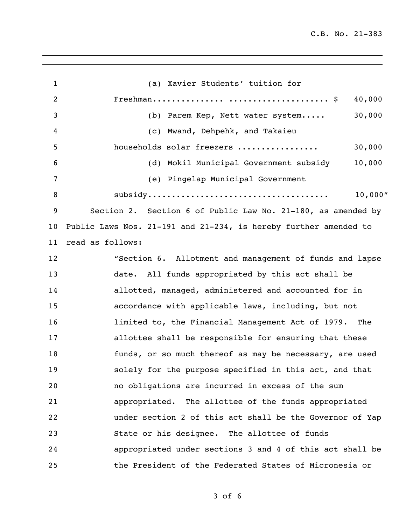C.B. No. 21-383

| $\mathbf{1}$   | (a) Xavier Students' tuition for                                 |
|----------------|------------------------------------------------------------------|
| $\overline{2}$ | Freshman $\ldots$ \$<br>40,000                                   |
| 3              | 30,000<br>(b) Parem Kep, Nett water system                       |
| 4              | (c) Mwand, Dehpehk, and Takaieu                                  |
| 5              | households solar freezers<br>30,000                              |
| 6              | (d) Mokil Municipal Government subsidy<br>10,000                 |
| 7              | (e) Pingelap Municipal Government                                |
| 8              | 10,000''                                                         |
| 9              | Section 2. Section 6 of Public Law No. 21-180, as amended by     |
| 10             | Public Laws Nos. 21-191 and 21-234, is hereby further amended to |
| 11             | read as follows:                                                 |
| 12             | "Section 6. Allotment and management of funds and lapse          |
| 13             | date. All funds appropriated by this act shall be                |
| 14             | allotted, managed, administered and accounted for in             |
| 15             | accordance with applicable laws, including, but not              |
| 16             | limited to, the Financial Management Act of 1979. The            |
| 17             | allottee shall be responsible for ensuring that these            |
| 18             | funds, or so much thereof as may be necessary, are used          |
| 19             | solely for the purpose specified in this act, and that           |
| 20             | no obligations are incurred in excess of the sum                 |
| 21             | appropriated. The allottee of the funds appropriated             |
| 22             | under section 2 of this act shall be the Governor of Yap         |
| 23             | State or his designee. The allottee of funds                     |
| 24             | appropriated under sections 3 and 4 of this act shall be         |
| 25             | the President of the Federated States of Micronesia or           |

of 6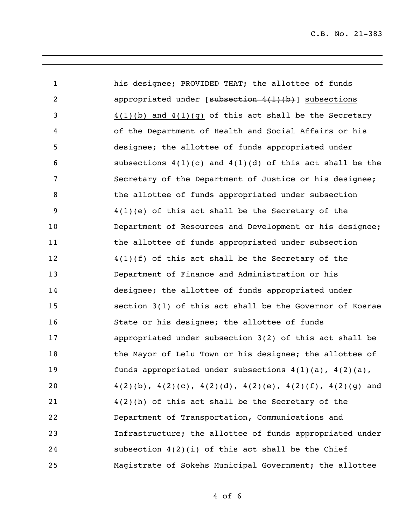his designee; PROVIDED THAT; the allottee of funds 2 appropriated under [subsection 4(1)(b)] subsections 4(1)(b) and 4(1)(g) of this act shall be the Secretary of the Department of Health and Social Affairs or his designee; the allottee of funds appropriated under 6 subsections  $4(1)(c)$  and  $4(1)(d)$  of this act shall be the Secretary of the Department of Justice or his designee; 8 the allottee of funds appropriated under subsection 4(1)(e) of this act shall be the Secretary of the Department of Resources and Development or his designee; 11 the allottee of funds appropriated under subsection 4(1)(f) of this act shall be the Secretary of the Department of Finance and Administration or his designee; the allottee of funds appropriated under section 3(1) of this act shall be the Governor of Kosrae State or his designee; the allottee of funds appropriated under subsection 3(2) of this act shall be 18 the Mayor of Lelu Town or his designee; the allottee of funds appropriated under subsections 4(1)(a), 4(2)(a),  $4(2)(b)$ ,  $4(2)(c)$ ,  $4(2)(d)$ ,  $4(2)(e)$ ,  $4(2)(f)$ ,  $4(2)(g)$  and 4(2)(h) of this act shall be the Secretary of the Department of Transportation, Communications and Infrastructure; the allottee of funds appropriated under subsection 4(2)(i) of this act shall be the Chief Magistrate of Sokehs Municipal Government; the allottee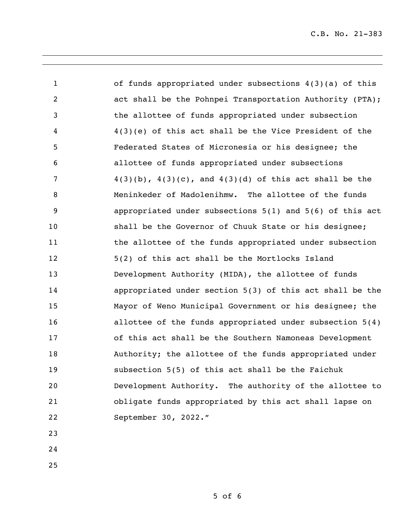C.B. No. 21-383

 of funds appropriated under subsections 4(3)(a) of this act shall be the Pohnpei Transportation Authority (PTA); the allottee of funds appropriated under subsection 4(3)(e) of this act shall be the Vice President of the Federated States of Micronesia or his designee; the allottee of funds appropriated under subsections  $4(3)(b)$ ,  $4(3)(c)$ , and  $4(3)(d)$  of this act shall be the Meninkeder of Madolenihmw. The allottee of the funds appropriated under subsections 5(1) and 5(6) of this act shall be the Governor of Chuuk State or his designee; 11 the allottee of the funds appropriated under subsection 5(2) of this act shall be the Mortlocks Island Development Authority (MIDA), the allottee of funds appropriated under section 5(3) of this act shall be the Mayor of Weno Municipal Government or his designee; the allottee of the funds appropriated under subsection 5(4) of this act shall be the Southern Namoneas Development Authority; the allottee of the funds appropriated under subsection 5(5) of this act shall be the Faichuk Development Authority. The authority of the allottee to obligate funds appropriated by this act shall lapse on September 30, 2022." 

- 
-